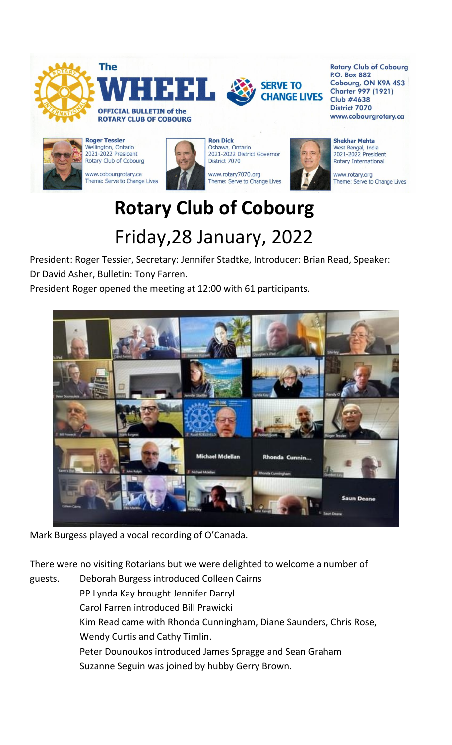

**Rotary Club of Cobourg P.O. Box 882** Cobourg, ON K9A 4S3 **Charter 997 (1921) Club #4638 District 7070** www.cobourgrotary.ca



**Roger Tessier** Wellington, Ontario 2021-2022 President Rotary Club of Cobourg

www.cobourgrotary.ca Theme: Serve to Change Lives



**Ron Dick** Oshawa, Ontario 2021-2022 District Governor District 7070

www.rotary7070.org Theme: Serve to Change Lives



**Shekhar Mehta** West Bengal, India 2021-2022 President **Rotary International** 

www.rotary.org Theme: Serve to Change Lives

# **Rotary Club of Cobourg** Friday,28 January, 2022

President: Roger Tessier, Secretary: Jennifer Stadtke, Introducer: Brian Read, Speaker: Dr David Asher, Bulletin: Tony Farren.

President Roger opened the meeting at 12:00 with 61 participants.



Mark Burgess played a vocal recording of O'Canada.

There were no visiting Rotarians but we were delighted to welcome a number of

guests. Deborah Burgess introduced Colleen Cairns PP Lynda Kay brought Jennifer Darryl Carol Farren introduced Bill Prawicki Kim Read came with Rhonda Cunningham, Diane Saunders, Chris Rose, Wendy Curtis and Cathy Timlin. Peter Dounoukos introduced James Spragge and Sean Graham Suzanne Seguin was joined by hubby Gerry Brown.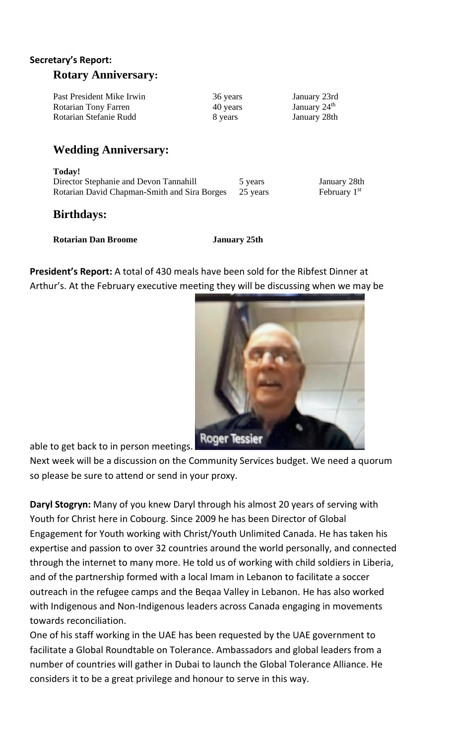#### **Secretary's Report:**

#### **Rotary Anniversary:**

| Past President Mike Irwin | 36 years | January 23rd   |
|---------------------------|----------|----------------|
| Rotarian Tony Farren      | 40 years | January $24th$ |
| Rotarian Stefanie Rudd    | 8 years  | January 28th   |

## **Wedding Anniversary:**

**Today!**  Director Stephanie and Devon Tannahill 5 years January 28th Rotarian David Chapman-Smith and Sira Borges 25 years February 1st

### **Birthdays:**

**Rotarian Dan Broome January 25th**

**President's Report:** A total of 430 meals have been sold for the Ribfest Dinner at Arthur's. At the February executive meeting they will be discussing when we may be



able to get back to in person meetings.

Next week will be a discussion on the Community Services budget. We need a quorum so please be sure to attend or send in your proxy.

**Daryl Stogryn:** Many of you knew Daryl through his almost 20 years of serving with Youth for Christ here in Cobourg. Since 2009 he has been Director of Global Engagement for Youth working with Christ/Youth Unlimited Canada. He has taken his expertise and passion to over 32 countries around the world personally, and connected through the internet to many more. He told us of working with child soldiers in Liberia, and of the partnership formed with a local Imam in Lebanon to facilitate a soccer outreach in the refugee camps and the Beqaa Valley in Lebanon. He has also worked with Indigenous and Non-Indigenous leaders across Canada engaging in movements towards reconciliation.

One of his staff working in the UAE has been requested by the UAE government to facilitate a Global Roundtable on Tolerance. Ambassadors and global leaders from a number of countries will gather in Dubai to launch the Global Tolerance Alliance. He considers it to be a great privilege and honour to serve in this way.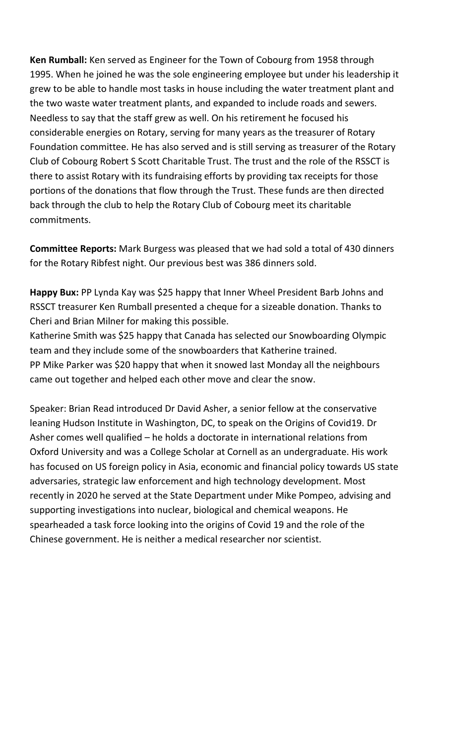**Ken Rumball:** Ken served as Engineer for the Town of Cobourg from 1958 through 1995. When he joined he was the sole engineering employee but under his leadership it grew to be able to handle most tasks in house including the water treatment plant and the two waste water treatment plants, and expanded to include roads and sewers. Needless to say that the staff grew as well. On his retirement he focused his considerable energies on Rotary, serving for many years as the treasurer of Rotary Foundation committee. He has also served and is still serving as treasurer of the Rotary Club of Cobourg Robert S Scott Charitable Trust. The trust and the role of the RSSCT is there to assist Rotary with its fundraising efforts by providing tax receipts for those portions of the donations that flow through the Trust. These funds are then directed back through the club to help the Rotary Club of Cobourg meet its charitable commitments.

**Committee Reports:** Mark Burgess was pleased that we had sold a total of 430 dinners for the Rotary Ribfest night. Our previous best was 386 dinners sold.

Happy Bux: PP Lynda Kay was \$25 happy that Inner Wheel President Barb Johns and RSSCT treasurer Ken Rumball presented a cheque for a sizeable donation. Thanks to Cheri and Brian Milner for making this possible.

Katherine Smith was \$25 happy that Canada has selected our Snowboarding Olympic team and they include some of the snowboarders that Katherine trained. PP Mike Parker was \$20 happy that when it snowed last Monday all the neighbours came out together and helped each other move and clear the snow.

Speaker: Brian Read introduced Dr David Asher, a senior fellow at the conservative leaning Hudson Institute in Washington, DC, to speak on the Origins of Covid19. Dr Asher comes well qualified – he holds a doctorate in international relations from Oxford University and was a College Scholar at Cornell as an undergraduate. His work has focused on US foreign policy in Asia, economic and financial policy towards US state adversaries, strategic law enforcement and high technology development. Most recently in 2020 he served at the State Department under Mike Pompeo, advising and supporting investigations into nuclear, biological and chemical weapons. He spearheaded a task force looking into the origins of Covid 19 and the role of the Chinese government. He is neither a medical researcher nor scientist.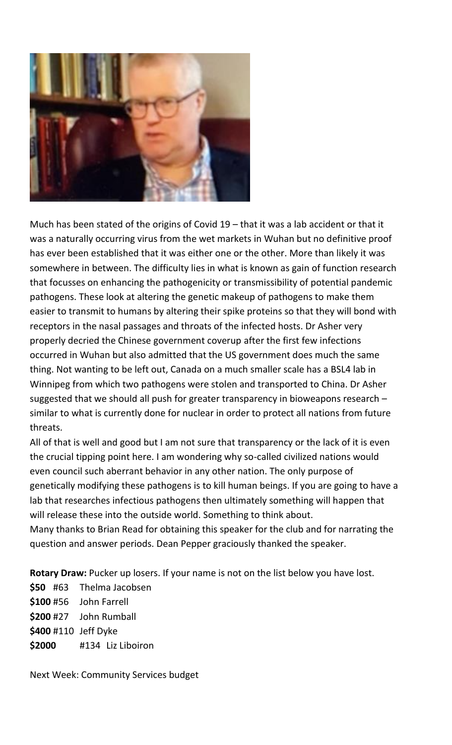

Much has been stated of the origins of Covid  $19$  – that it was a lab accident or that it was a naturally occurring virus from the wet markets in Wuhan but no definitive proof has ever been established that it was either one or the other. More than likely it was somewhere in between. The difficulty lies in what is known as gain of function research that focusses on enhancing the pathogenicity or transmissibility of potential pandemic pathogens. These look at altering the genetic makeup of pathogens to make them easier to transmit to humans by altering their spike proteins so that they will bond with receptors in the nasal passages and throats of the infected hosts. Dr Asher very properly decried the Chinese government coverup after the first few infections occurred in Wuhan but also admitted that the US government does much the same thing. Not wanting to be left out, Canada on a much smaller scale has a BSL4 lab in Winnipeg from which two pathogens were stolen and transported to China. Dr Asher suggested that we should all push for greater transparency in bioweapons research – similar to what is currently done for nuclear in order to protect all nations from future threats.

All of that is well and good but I am not sure that transparency or the lack of it is even the crucial tipping point here. I am wondering why so-called civilized nations would even council such aberrant behavior in any other nation. The only purpose of genetically modifying these pathogens is to kill human beings. If you are going to have a lab that researches infectious pathogens then ultimately something will happen that will release these into the outside world. Something to think about. Many thanks to Brian Read for obtaining this speaker for the club and for narrating the question and answer periods. Dean Pepper graciously thanked the speaker.

**Rotary Draw:** Pucker up losers. If your name is not on the list below you have lost.

**\$50** #63 Thelma Jacobsen **\$100** #56 John Farrell **\$200** #27 John Rumball **\$400** #110 Jeff Dyke **\$2000** #134 Liz Liboiron

Next Week: Community Services budget